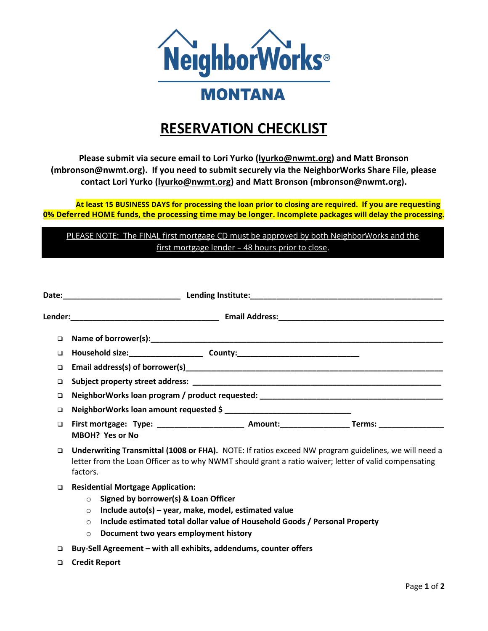

## **RESERVATION CHECKLIST**

**Please submit via secure email to Lori Yurko [\(lyurko@nwmt.org\)](mailto:lyurko@nwmt.org) and Matt Bronson (mbronson@nwmt.org). If you need to submit securely via the NeighborWorks Share File, please contact Lori Yurko [\(lyurko@nwmt.org\)](mailto:lyurko@nwmt.org) and Matt Bronson (mbronson@nwmt.org).** 

**At least 15 BUSINESS DAYS for processing the loan prior to closing are required. If you are requesting 0% Deferred HOME funds, the processing time may be longer. Incomplete packages will delay the processing.**

PLEASE NOTE: The FINAL first mortgage CD must be approved by both NeighborWorks and the first mortgage lender – 48 hours prior to close.

| $\Box$ |                                                                                                                                                                                                                             |  |  |
|--------|-----------------------------------------------------------------------------------------------------------------------------------------------------------------------------------------------------------------------------|--|--|
| $\Box$ |                                                                                                                                                                                                                             |  |  |
| □      |                                                                                                                                                                                                                             |  |  |
| □      | NeighborWorks loan program / product requested: ________________________________                                                                                                                                            |  |  |
| □      |                                                                                                                                                                                                                             |  |  |
| □      | MBOH? Yes or No                                                                                                                                                                                                             |  |  |
|        | □ Underwriting Transmittal (1008 or FHA). NOTE: If ratios exceed NW program guidelines, we will need a<br>letter from the Loan Officer as to why NWMT should grant a ratio waiver; letter of valid compensating<br>factors. |  |  |

- ❑ **Residential Mortgage Application:**
	- o **Signed by borrower(s) & Loan Officer**
	- o **Include auto(s) – year, make, model, estimated value**
	- o **Include estimated total dollar value of Household Goods / Personal Property**
	- o **Document two years employment history**
- ❑ **Buy-Sell Agreement – with all exhibits, addendums, counter offers**
- ❑ **Credit Report**